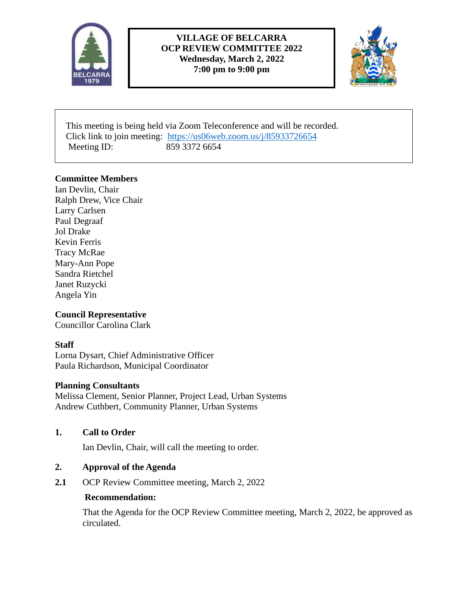

# **VILLAGE OF BELCARRA OCP REVIEW COMMITTEE 2022 Wednesday, March 2, 2022 7:00 pm to 9:00 pm**



 This meeting is being held via Zoom Teleconference and will be recorded. Click link to join meeting: <https://us06web.zoom.us/j/85933726654> Meeting ID: 859 3372 6654

## **Committee Members**

Ian Devlin, Chair Ralph Drew, Vice Chair Larry Carlsen Paul Degraaf Jol Drake Kevin Ferris Tracy McRae Mary-Ann Pope Sandra Rietchel Janet Ruzycki Angela Yin

# **Council Representative**

Councillor Carolina Clark

# **Staff**

Lorna Dysart, Chief Administrative Officer Paula Richardson, Municipal Coordinator

## **Planning Consultants**

Melissa Clement, Senior Planner, Project Lead, Urban Systems Andrew Cuthbert, Community Planner, Urban Systems

## **1. Call to Order**

Ian Devlin, Chair, will call the meeting to order.

## **2. Approval of the Agenda**

**2.1** OCP Review Committee meeting, March 2, 2022

## **Recommendation:**

That the Agenda for the OCP Review Committee meeting, March 2, 2022, be approved as circulated.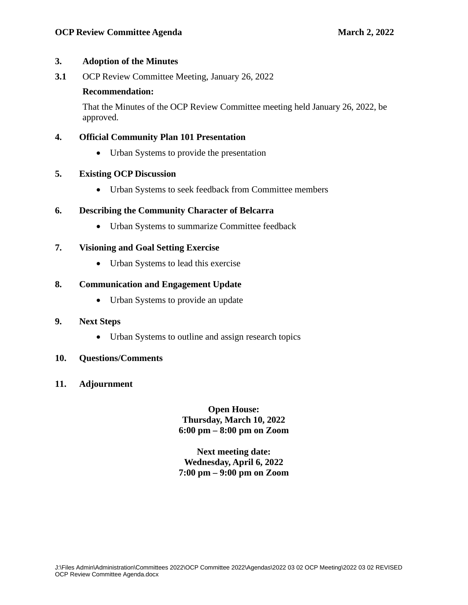## **3. Adoption of the Minutes**

**3.1** OCP Review Committee Meeting, January 26, 2022

## **Recommendation:**

That the Minutes of the OCP Review Committee meeting held January 26, 2022, be approved.

# **4. Official Community Plan 101 Presentation**

• Urban Systems to provide the presentation

## **5. Existing OCP Discussion**

• Urban Systems to seek feedback from Committee members

# **6. Describing the Community Character of Belcarra**

• Urban Systems to summarize Committee feedback

# **7. Visioning and Goal Setting Exercise**

• Urban Systems to lead this exercise

## **8. Communication and Engagement Update**

• Urban Systems to provide an update

## **9. Next Steps**

• Urban Systems to outline and assign research topics

## **10. Questions/Comments**

**11. Adjournment**

**Open House: Thursday, March 10, 2022 6:00 pm – 8:00 pm on Zoom**

**Next meeting date: Wednesday, April 6, 2022 7:00 pm – 9:00 pm on Zoom**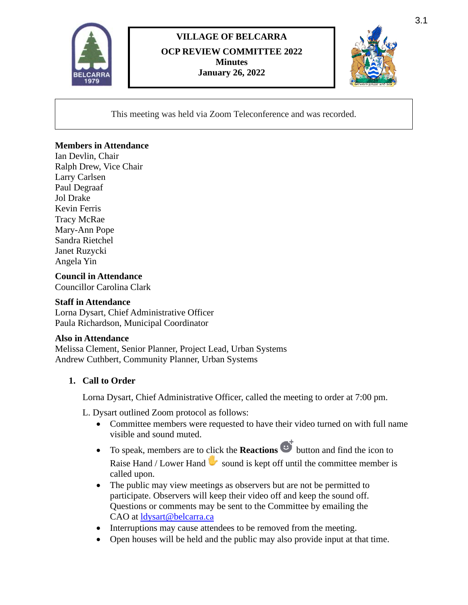

# **VILLAGE OF BELCARRA OCP REVIEW COMMITTEE 2022 Minutes January 26, 2022**



This meeting was held via Zoom Teleconference and was recorded.

## **Members in Attendance**

Ian Devlin, Chair Ralph Drew, Vice Chair Larry Carlsen Paul Degraaf Jol Drake Kevin Ferris Tracy McRae Mary-Ann Pope Sandra Rietchel Janet Ruzycki Angela Yin

**Council in Attendance** Councillor Carolina Clark

#### **Staff in Attendance**

Lorna Dysart, Chief Administrative Officer Paula Richardson, Municipal Coordinator

## **Also in Attendance**

Melissa Clement, Senior Planner, Project Lead, Urban Systems Andrew Cuthbert, Community Planner, Urban Systems

## **1. Call to Order**

Lorna Dysart, Chief Administrative Officer, called the meeting to order at 7:00 pm.

L. Dysart outlined Zoom protocol as follows:

- Committee members were requested to have their video turned on with full name visible and sound muted.
- To speak, members are to click the **Reactions**  $\mathbb{C}^{\dagger}$  button and find the icon to Raise Hand / Lower Hand  $\blacktriangleright$  sound is kept off until the committee member is called upon.
- The public may view meetings as observers but are not be permitted to participate. Observers will keep their video off and keep the sound off. Questions or comments may be sent to the Committee by emailing the CAO at [ldysart@belcarra.ca](mailto:ldysart@belcarra.ca)
- Interruptions may cause attendees to be removed from the meeting.
- Open houses will be held and the public may also provide input at that time.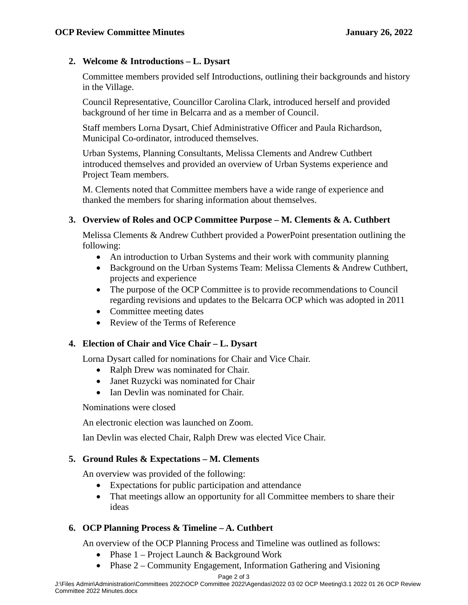## **2. Welcome & Introductions – L. Dysart**

Committee members provided self Introductions, outlining their backgrounds and history in the Village.

Council Representative, Councillor Carolina Clark, introduced herself and provided background of her time in Belcarra and as a member of Council.

Staff members Lorna Dysart, Chief Administrative Officer and Paula Richardson, Municipal Co-ordinator, introduced themselves.

Urban Systems, Planning Consultants, Melissa Clements and Andrew Cuthbert introduced themselves and provided an overview of Urban Systems experience and Project Team members.

M. Clements noted that Committee members have a wide range of experience and thanked the members for sharing information about themselves.

# **3. Overview of Roles and OCP Committee Purpose – M. Clements & A. Cuthbert**

Melissa Clements & Andrew Cuthbert provided a PowerPoint presentation outlining the following:

- An introduction to Urban Systems and their work with community planning
- Background on the Urban Systems Team: Melissa Clements & Andrew Cuthbert, projects and experience
- The purpose of the OCP Committee is to provide recommendations to Council regarding revisions and updates to the Belcarra OCP which was adopted in 2011
- Committee meeting dates
- Review of the Terms of Reference

# **4. Election of Chair and Vice Chair – L. Dysart**

Lorna Dysart called for nominations for Chair and Vice Chair.

- Ralph Drew was nominated for Chair.
- Janet Ruzycki was nominated for Chair
- Ian Devlin was nominated for Chair.

Nominations were closed

An electronic election was launched on Zoom.

Ian Devlin was elected Chair, Ralph Drew was elected Vice Chair.

# **5. Ground Rules & Expectations – M. Clements**

An overview was provided of the following:

- Expectations for public participation and attendance
- That meetings allow an opportunity for all Committee members to share their ideas

# **6. OCP Planning Process & Timeline – A. Cuthbert**

An overview of the OCP Planning Process and Timeline was outlined as follows:

- Phase 1 Project Launch & Background Work
- Phase 2 Community Engagement, Information Gathering and Visioning

J:\Files Admin\Administration\Committees 2022\OCP Committee 2022\Agendas\2022 03 02 OCP Meeting\3.1 2022 01 26 OCP Review Committee 2022 Minutes.docx